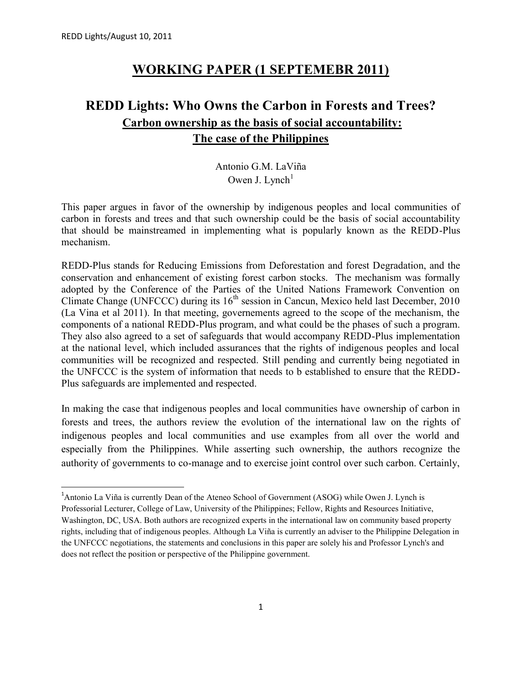# **WORKING PAPER (1 SEPTEMEBR 2011)**

# **REDD Lights: Who Owns the Carbon in Forests and Trees? Carbon ownership as the basis of social accountability: The case of the Philippines**

Antonio G.M. LaViña Owen J. Lynch $<sup>1</sup>$ </sup>

This paper argues in favor of the ownership by indigenous peoples and local communities of carbon in forests and trees and that such ownership could be the basis of social accountability that should be mainstreamed in implementing what is popularly known as the REDD-Plus mechanism.

REDD-Plus stands for Reducing Emissions from Deforestation and forest Degradation, and the conservation and enhancement of existing forest carbon stocks. The mechanism was formally adopted by the Conference of the Parties of the United Nations Framework Convention on Climate Change (UNFCCC) during its  $16<sup>th</sup>$  session in Cancun, Mexico held last December, 2010 (La Vina et al 2011). In that meeting, governements agreed to the scope of the mechanism, the components of a national REDD-Plus program, and what could be the phases of such a program. They also also agreed to a set of safeguards that would accompany REDD-Plus implementation at the national level, which included assurances that the rights of indigenous peoples and local communities will be recognized and respected. Still pending and currently being negotiated in the UNFCCC is the system of information that needs to b established to ensure that the REDD- Plus safeguards are implemented and respected.

In making the case that indigenous peoples and local communities have ownership of carbon in forests and trees, the authors review the evolution of the international law on the rights of indigenous peoples and local communities and use examples from all over the world and especially from the Philippines. While asserting such ownership, the authors recognize the authority of governments to co-manage and to exercise joint control over such carbon. Certainly,

<sup>&</sup>lt;sup>1</sup>Antonio La Viña is currently Dean of the Ateneo School of Government (ASOG) while Owen J. Lynch is Professorial Lecturer, College of Law, University of the Philippines; Fellow, Rights and Resources Initiative, Washington, DC, USA. Both authors are recognized experts in the international law on community based property rights, including that of indigenous peoples. Although La Viña is currently an adviser to the Philippine Delegation in the UNFCCC negotiations, the statements and conclusions in this paper are solely his and Professor Lynch's and does not reflect the position or perspective of the Philippine government.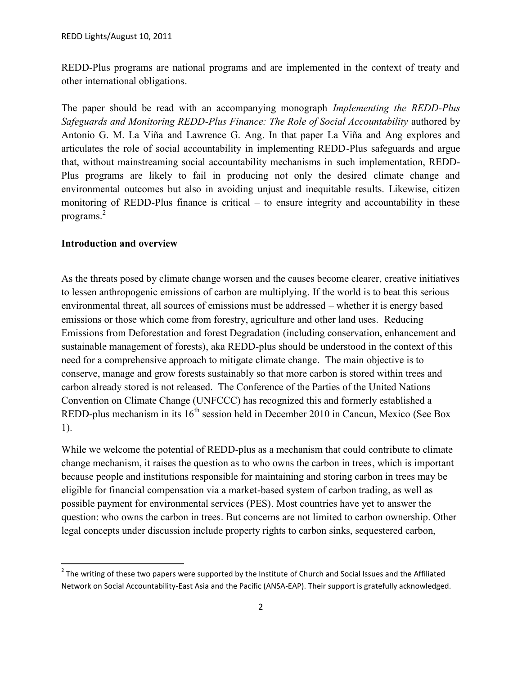REDD-Plus programs are national programs and are implemented in the context of treaty and other international obligations.

The paper should be read with an accompanying monograph *Implementing the REDD-Plus Safeguards and Monitoring REDD-Plus Finance: The Role of Social Accountability* authored by Antonio G. M. La Viña and Lawrence G. Ang. In that paper La Viña and Ang explores and articulates the role of social accountability in implementing REDD-Plus safeguards and argue that, without mainstreaming social accountability mechanisms in such implementation, REDD- Plus programs are likely to fail in producing not only the desired climate change and environmental outcomes but also in avoiding unjust and inequitable results. Likewise, citizen monitoring of REDD-Plus finance is critical – to ensure integrity and accountability in these programs.<sup>2</sup>

### **Introduction and overview**

As the threats posed by climate change worsen and the causes become clearer, creative initiatives to lessen anthropogenic emissions of carbon are multiplying. If the world is to beat this serious environmental threat, all sources of emissions must be addressed – whether it is energy based emissions or those which come from forestry, agriculture and other land uses. Reducing Emissions from Deforestation and forest Degradation (including conservation, enhancement and sustainable management of forests), aka REDD-plus should be understood in the context of this need for a comprehensive approach to mitigate climate change. The main objective is to conserve, manage and grow forests sustainably so that more carbon is stored within trees and carbon already stored is not released. The Conference of the Parties of the United Nations Convention on Climate Change (UNFCCC) has recognized this and formerly established a REDD-plus mechanism in its  $16<sup>th</sup>$  session held in December 2010 in Cancun, Mexico (See Box 1).

While we welcome the potential of REDD-plus as a mechanism that could contribute to climate change mechanism, it raises the question as to who owns the carbon in trees, which is important because people and institutions responsible for maintaining and storing carbon in trees may be eligible for financial compensation via a market-based system of carbon trading, as well as possible payment for environmental services (PES). Most countries have yet to answer the question: who owns the carbon in trees. But concerns are not limited to carbon ownership. Other legal concepts under discussion include property rights to carbon sinks, sequestered carbon,

 $2$  The writing of these two papers were supported by the Institute of Church and Social Issues and the Affiliated Network on Social Accountability-East Asia and the Pacific (ANSA-EAP). Their support is gratefully acknowledged.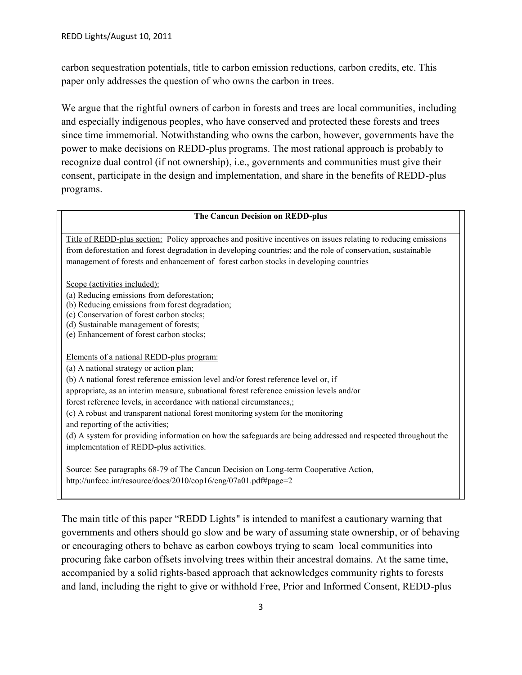carbon sequestration potentials, title to carbon emission reductions, carbon credits, etc. This paper only addresses the question of who owns the carbon in trees.

We argue that the rightful owners of carbon in forests and trees are local communities, including and especially indigenous peoples, who have conserved and protected these forests and trees since time immemorial. Notwithstanding who owns the carbon, however, governments have the power to make decisions on REDD-plus programs. The most rational approach is probably to recognize dual control (if not ownership), i.e., governments and communities must give their consent, participate in the design and implementation, and share in the benefits of REDD-plus programs.

#### **The Cancun Decision on REDD-plus**

Title of REDD-plus section: Policy approaches and positive incentives on issues relating to reducing emissions from deforestation and forest degradation in developing countries; and the role of conservation, sustainable management of forests and enhancement of forest carbon stocks in developing countries

Scope (activities included):

(a) Reducing emissions from deforestation;

(b) Reducing emissions from forest degradation;

(c) Conservation of forest carbon stocks;

(d) Sustainable management of forests;

(e) Enhancement of forest carbon stocks;

Elements of a national REDD-plus program:

(a) A national strategy or action plan;

(b) A national forest reference emission level and/or forest reference level or, if

appropriate, as an interim measure, subnational forest reference emission levels and/or

forest reference levels, in accordance with national circumstances,;

(c) A robust and transparent national forest monitoring system for the monitoring and reporting of the activities;

(d) A system for providing information on how the safeguards are being addressed and respected throughout the implementation of REDD-plus activities.

Source: See paragraphs 68-79 of The Cancun Decision on Long-term Cooperative Action, http://unfccc.int/resource/docs/2010/cop16/eng/07a01.pdf#page=2

The main title of this paper "REDD Lights" is intended to manifest a cautionary warning that governments and others should go slow and be wary of assuming state ownership, or of behaving or encouraging others to behave as carbon cowboys trying to scam local communities into procuring fake carbon offsets involving trees within their ancestral domains. At the same time, accompanied by a solid rights-based approach that acknowledges community rights to forests and land, including the right to give or withhold Free, Prior and Informed Consent, REDD-plus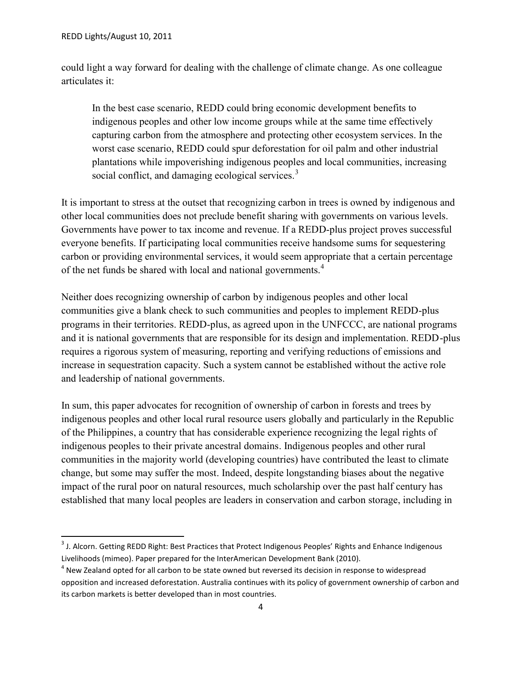could light a way forward for dealing with the challenge of climate change. As one colleague articulates it:

In the best case scenario, REDD could bring economic development benefits to indigenous peoples and other low income groups while at the same time effectively capturing carbon from the atmosphere and protecting other ecosystem services. In the worst case scenario, REDD could spur deforestation for oil palm and other industrial plantations while impoverishing indigenous peoples and local communities, increasing social conflict, and damaging ecological services.<sup>3</sup>

It is important to stress at the outset that recognizing carbon in trees is owned by indigenous and other local communities does not preclude benefit sharing with governments on various levels. Governments have power to tax income and revenue. If a REDD-plus project proves successful everyone benefits. If participating local communities receive handsome sums for sequestering carbon or providing environmental services, it would seem appropriate that a certain percentage of the net funds be shared with local and national governments.<sup>4</sup>

Neither does recognizing ownership of carbon by indigenous peoples and other local communities give a blank check to such communities and peoples to implement REDD-plus programs in their territories. REDD-plus, as agreed upon in the UNFCCC, are national programs and it is national governments that are responsible for its design and implementation. REDD-plus requires a rigorous system of measuring, reporting and verifying reductions of emissions and increase in sequestration capacity. Such a system cannot be established without the active role and leadership of national governments.

In sum, this paper advocates for recognition of ownership of carbon in forests and trees by indigenous peoples and other local rural resource users globally and particularly in the Republic of the Philippines, a country that has considerable experience recognizing the legal rights of indigenous peoples to their private ancestral domains. Indigenous peoples and other rural communities in the majority world (developing countries) have contributed the least to climate change, but some may suffer the most. Indeed, despite longstanding biases about the negative impact of the rural poor on natural resources, much scholarship over the past half century has established that many local peoples are leaders in conservation and carbon storage, including in

 $^3$  J. Alcorn. Getting REDD Right: Best Practices that Protect Indigenous Peoples' Rights and Enhance Indigenous Livelihoods (mimeo). Paper prepared for the InterAmerican Development Bank (2010).

 $^4$  New Zealand opted for all carbon to be state owned but reversed its decision in response to widespread opposition and increased deforestation. Australia continues with its policy of government ownership of carbon and its carbon markets is better developed than in most countries.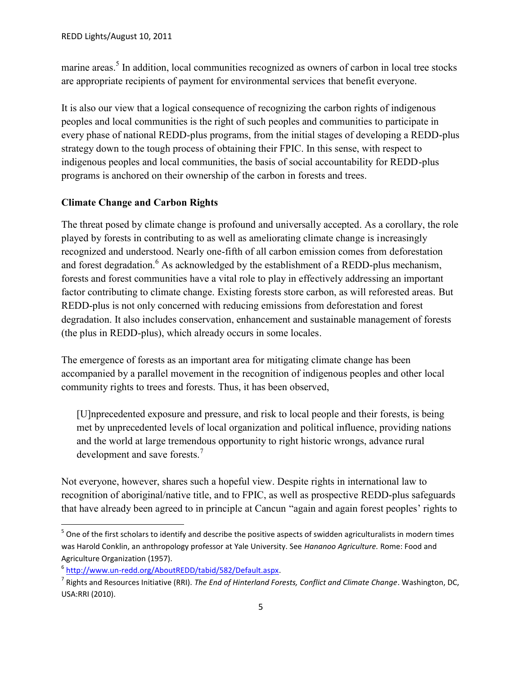marine areas.<sup>5</sup> In addition, local communities recognized as owners of carbon in local tree stocks are appropriate recipients of payment for environmental services that benefit everyone.

It is also our view that a logical consequence of recognizing the carbon rights of indigenous peoples and local communities is the right of such peoples and communities to participate in every phase of national REDD-plus programs, from the initial stages of developing a REDD-plus strategy down to the tough process of obtaining their FPIC. In this sense, with respect to indigenous peoples and local communities, the basis of social accountability for REDD-plus programs is anchored on their ownership of the carbon in forests and trees.

### **Climate Change and Carbon Rights**

The threat posed by climate change is profound and universally accepted. As a corollary, the role played by forests in contributing to as well as ameliorating climate change is increasingly recognized and understood. Nearly one-fifth of all carbon emission comes from deforestation and forest degradation.<sup>6</sup> As acknowledged by the establishment of a REDD-plus mechanism, forests and forest communities have a vital role to play in effectively addressing an important factor contributing to climate change. Existing forests store carbon, as will reforested areas. But REDD-plus is not only concerned with reducing emissions from deforestation and forest degradation. It also includes conservation, enhancement and sustainable management of forests (the plus in REDD-plus), which already occurs in some locales.

The emergence of forests as an important area for mitigating climate change has been accompanied by a parallel movement in the recognition of indigenous peoples and other local community rights to trees and forests. Thus, it has been observed,

[U]nprecedented exposure and pressure, and risk to local people and their forests, is being met by unprecedented levels of local organization and political influence, providing nations and the world at large tremendous opportunity to right historic wrongs, advance rural development and save forests.<sup>7</sup>

Not everyone, however, shares such a hopeful view. Despite rights in international law to recognition of aboriginal/native title, and to FPIC, as well as prospective REDD-plus safeguards that have already been agreed to in principle at Cancun "again and again forest peoples' rights to

 $^5$  One of the first scholars to identify and describe the positive aspects of swidden agriculturalists in modern times was Harold Conklin, an anthropology professor at Yale University. See *Hananoo Agriculture.* Rome: Food and Agriculture Organization (1957).

<sup>6</sup> http://www.un-redd.org/AboutREDD/tabid/582/Default.aspx.

<sup>7</sup> Rights and Resources Initiative (RRI). *The End of Hinterland Forests, Conflict and Climate Change*. Washington, DC, USA:RRI (2010).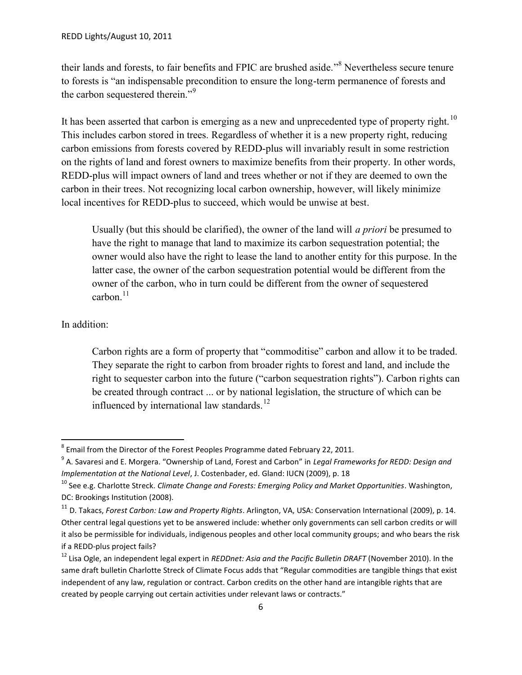their lands and forests, to fair benefits and FPIC are brushed aside."<sup>8</sup> Nevertheless secure tenure to forests is "an indispensable precondition to ensure the long-term permanence of forests and the carbon sequestered therein."<sup>9</sup>

It has been asserted that carbon is emerging as a new and unprecedented type of property right.<sup>10</sup> This includes carbon stored in trees. Regardless of whether it is a new property right, reducing carbon emissions from forests covered by REDD-plus will invariably result in some restriction on the rights of land and forest owners to maximize benefits from their property. In other words, REDD-plus will impact owners of land and trees whether or not if they are deemed to own the carbon in their trees. Not recognizing local carbon ownership, however, will likely minimize local incentives for REDD-plus to succeed, which would be unwise at best.

Usually (but this should be clarified), the owner of the land will *a priori* be presumed to have the right to manage that land to maximize its carbon sequestration potential; the owner would also have the right to lease the land to another entity for this purpose. In the latter case, the owner of the carbon sequestration potential would be different from the owner of the carbon, who in turn could be different from the owner of sequestered carbon $11$ 

### In addition:

Carbon rights are a form of property that "commoditise" carbon and allow it to be traded. They separate the right to carbon from broader rights to forest and land, and include the right to sequester carbon into the future ("carbon sequestration rights"). Carbon rights can be created through contract ... or by national legislation, the structure of which can be influenced by international law standards. $^{12}$ 

 $^8$  Email from the Director of the Forest Peoples Programme dated February 22, 2011.

<sup>9</sup> A. Savaresi and E. Morgera. "Ownership of Land, Forest and Carbon" in *Legal Frameworks for REDD: Design and Implementation at the National Level*, J. Costenbader, ed. Gland: IUCN (2009), p. 18

<sup>10</sup> See e.g. Charlotte Streck. *Climate Change and Forests: Emerging Policy and Market Opportunities*. Washington, DC: Brookings Institution (2008).

<sup>11</sup> D. Takacs, *Forest Carbon: Law and Property Rights*. Arlington, VA, USA: Conservation International (2009), p. 14. Other central legal questions yet to be answered include: whether only governments can sell carbon credits or will it also be permissible for individuals, indigenous peoples and other local community groups; and who bears the risk if a REDD-plus project fails?

<sup>12</sup> Lisa Ogle, an independent legal expert in *REDDnet: Asia and the Pacific Bulletin DRAFT* (November 2010). In the same draft bulletin Charlotte Streck of Climate Focus adds that "Regular commodities are tangible things that exist independent of any law, regulation or contract. Carbon credits on the other hand are intangible rights that are created by people carrying out certain activities under relevant laws or contracts."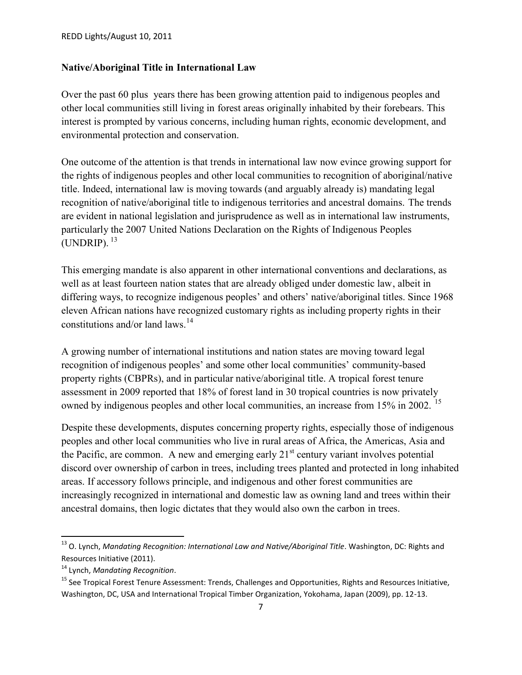### **Native/Aboriginal Title in International Law**

Over the past 60 plus years there has been growing attention paid to indigenous peoples and other local communities still living in forest areas originally inhabited by their forebears. This interest is prompted by various concerns, including human rights, economic development, and environmental protection and conservation.

One outcome of the attention is that trends in international law now evince growing support for the rights of indigenous peoples and other local communities to recognition of aboriginal/native title. Indeed, international law is moving towards (and arguably already is) mandating legal recognition of native/aboriginal title to indigenous territories and ancestral domains. The trends are evident in national legislation and jurisprudence as well as in international law instruments, particularly the 2007 United Nations Declaration on the Rights of Indigenous Peoples  $(UNDRIP).$ <sup>13</sup>

This emerging mandate is also apparent in other international conventions and declarations, as well as at least fourteen nation states that are already obliged under domestic law, albeit in differing ways, to recognize indigenous peoples' and others' native/aboriginal titles. Since 1968 eleven African nations have recognized customary rights as including property rights in their constitutions and/or land laws.<sup>14</sup>

A growing number of international institutions and nation states are moving toward legal recognition of indigenous peoples' and some other local communities' community-based property rights (CBPRs), and in particular native/aboriginal title. A tropical forest tenure assessment in 2009 reported that 18% of forest land in 30 tropical countries is now privately owned by indigenous peoples and other local communities, an increase from 15% in 2002.<sup>15</sup>

Despite these developments, disputes concerning property rights, especially those of indigenous peoples and other local communities who live in rural areas of Africa, the Americas, Asia and the Pacific, are common. A new and emerging early  $21<sup>st</sup>$  century variant involves potential discord over ownership of carbon in trees, including trees planted and protected in long inhabited areas. If accessory follows principle, and indigenous and other forest communities are increasingly recognized in international and domestic law as owning land and trees within their ancestral domains, then logic dictates that they would also own the carbon in trees.

<sup>&</sup>lt;sup>13</sup> O. Lynch, *Mandating Recognition: International Law and Native/Aboriginal Title*. Washington, DC: Rights and Resources Initiative (2011).

<sup>14</sup> Lynch, *Mandating Recognition*.

<sup>&</sup>lt;sup>15</sup> See Tropical Forest Tenure Assessment: Trends, Challenges and Opportunities, Rights and Resources Initiative, Washington, DC, USA and International Tropical Timber Organization, Yokohama, Japan (2009), pp. 12-13.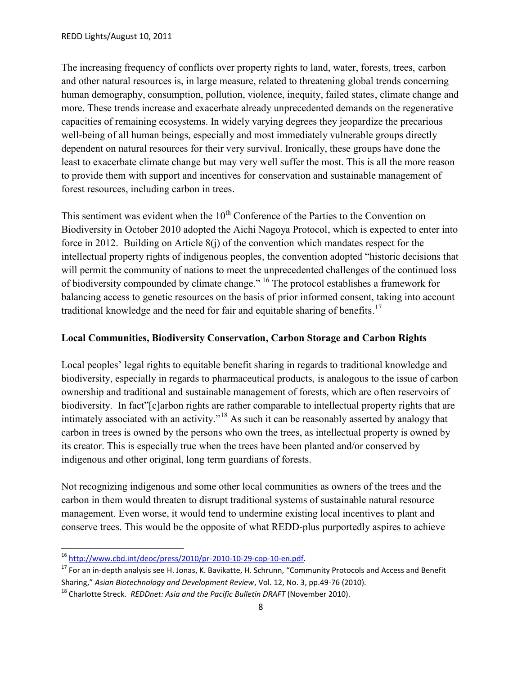The increasing frequency of conflicts over property rights to land, water, forests, trees, carbon and other natural resources is, in large measure, related to threatening global trends concerning human demography, consumption, pollution, violence, inequity, failed states, climate change and more. These trends increase and exacerbate already unprecedented demands on the regenerative capacities of remaining ecosystems. In widely varying degrees they jeopardize the precarious well-being of all human beings, especially and most immediately vulnerable groups directly dependent on natural resources for their very survival. Ironically, these groups have done the least to exacerbate climate change but may very well suffer the most. This is all the more reason to provide them with support and incentives for conservation and sustainable management of forest resources, including carbon in trees.

This sentiment was evident when the  $10<sup>th</sup>$  Conference of the Parties to the Convention on Biodiversity in October 2010 adopted the Aichi Nagoya Protocol, which is expected to enter into force in 2012. Building on Article 8(j) of the convention which mandates respect for the intellectual property rights of indigenous peoples, the convention adopted "historic decisions that will permit the community of nations to meet the unprecedented challenges of the continued loss of biodiversity compounded by climate change." <sup>16</sup> The protocol establishes a framework for balancing access to genetic resources on the basis of prior informed consent, taking into account traditional knowledge and the need for fair and equitable sharing of benefits.<sup>17</sup>

### **Local Communities, Biodiversity Conservation, Carbon Storage and Carbon Rights**

Local peoples' legal rights to equitable benefit sharing in regards to traditional knowledge and biodiversity, especially in regards to pharmaceutical products, is analogous to the issue of carbon ownership and traditional and sustainable management of forests, which are often reservoirs of biodiversity. In fact"[c]arbon rights are rather comparable to intellectual property rights that are intimately associated with an activity."<sup>18</sup> As such it can be reasonably asserted by analogy that carbon in trees is owned by the persons who own the trees, as intellectual property is owned by its creator. This is especially true when the trees have been planted and/or conserved by indigenous and other original, long term guardians of forests.

Not recognizing indigenous and some other local communities as owners of the trees and the carbon in them would threaten to disrupt traditional systems of sustainable natural resource management. Even worse, it would tend to undermine existing local incentives to plant and conserve trees. This would be the opposite of what REDD-plus purportedly aspires to achieve

<sup>16</sup> http://www.cbd.int/deoc/press/2010/pr-2010-10-29-cop-10-en.pdf.

<sup>&</sup>lt;sup>17</sup> For an in-depth analysis see H. Jonas, K. Bavikatte, H. Schrunn, "Community Protocols and Access and Benefit Sharing," *Asian Biotechnology and Development Review*, Vol. 12, No. 3, pp.49-76 (2010).

<sup>18</sup> Charlotte Streck. *REDDnet: Asia and the Pacific Bulletin DRAFT* (November 2010).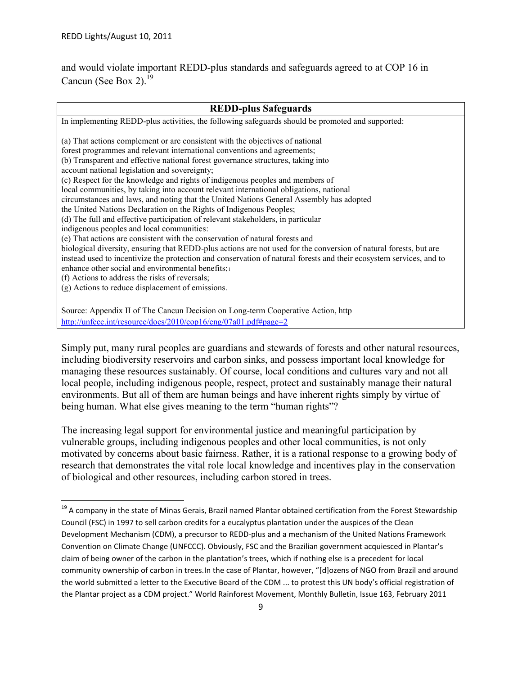and would violate important REDD-plus standards and safeguards agreed to at COP 16 in Cancun (See Box 2). $^{19}$ 

# **REDD-plus Safeguards** In implementing REDD-plus activities, the following safeguards should be promoted and supported: (a) That actions complement or are consistent with the objectives of national forest programmes and relevant international conventions and agreements;

(b) Transparent and effective national forest governance structures, taking into account national legislation and sovereignty; (c) Respect for the knowledge and rights of indigenous peoples and members of local communities, by taking into account relevant international obligations, national circumstances and laws, and noting that the United Nations General Assembly has adopted the United Nations Declaration on the Rights of Indigenous Peoples; (d) The full and effective participation of relevant stakeholders, in particular indigenous peoples and local communities: (e) That actions are consistent with the conservation of natural forests and biological diversity, ensuring that REDD-plus actions are not used for the conversion of natural forests, but are instead used to incentivize the protection and conservation of natural forests and their ecosystem services, and to enhance other social and environmental benefits;<sup>1</sup> (f) Actions to address the risks of reversals; (g) Actions to reduce displacement of emissions.

Source: Appendix II of The Cancun Decision on Long-term Cooperative Action, http http://unfccc.int/resource/docs/2010/cop16/eng/07a01.pdf#page=2

Simply put, many rural peoples are guardians and stewards of forests and other natural resources, including biodiversity reservoirs and carbon sinks, and possess important local knowledge for managing these resources sustainably. Of course, local conditions and cultures vary and not all local people, including indigenous people, respect, protect and sustainably manage their natural environments. But all of them are human beings and have inherent rights simply by virtue of being human. What else gives meaning to the term "human rights"?

The increasing legal support for environmental justice and meaningful participation by vulnerable groups, including indigenous peoples and other local communities, is not only motivated by concerns about basic fairness. Rather, it is a rational response to a growing body of research that demonstrates the vital role local knowledge and incentives play in the conservation of biological and other resources, including carbon stored in trees.

<sup>&</sup>lt;sup>19</sup> A company in the state of Minas Gerais, Brazil named Plantar obtained certification from the Forest Stewardship Council (FSC) in 1997 to sell carbon credits for a eucalyptus plantation under the auspices of the Clean Development Mechanism (CDM), a precursor to REDD-plus and a mechanism of the United Nations Framework Convention on Climate Change (UNFCCC). Obviously, FSC and the Brazilian government acquiesced in Plantar's claim of being owner of the carbon in the plantation's trees, which if nothing else is a precedent for local community ownership of carbon in trees.In the case of Plantar, however, "[d]ozens of NGO from Brazil and around the world submitted a letter to the Executive Board of the CDM ... to protest this UN body's official registration of the Plantar project as a CDM project." World Rainforest Movement, Monthly Bulletin, Issue 163, February 2011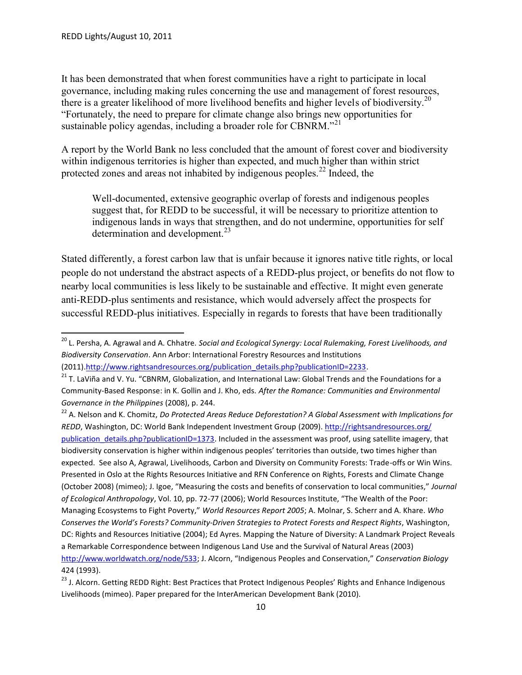It has been demonstrated that when forest communities have a right to participate in local governance, including making rules concerning the use and management of forest resources, there is a greater likelihood of more livelihood benefits and higher levels of biodiversity.<sup>20</sup> "Fortunately, the need to prepare for climate change also brings new opportunities for sustainable policy agendas, including a broader role for CBNRM."<sup>21</sup>

A report by the World Bank no less concluded that the amount of forest cover and biodiversity within indigenous territories is higher than expected, and much higher than within strict protected zones and areas not inhabited by indigenous peoples.<sup>22</sup> Indeed, the

Well-documented, extensive geographic overlap of forests and indigenous peoples suggest that, for REDD to be successful, it will be necessary to prioritize attention to indigenous lands in ways that strengthen, and do not undermine, opportunities for self determination and development.<sup>23</sup>

Stated differently, a forest carbon law that is unfair because it ignores native title rights, or local people do not understand the abstract aspects of a REDD-plus project, or benefits do not flow to nearby local communities is less likely to be sustainable and effective. It might even generate anti-REDD-plus sentiments and resistance, which would adversely affect the prospects for successful REDD-plus initiatives. Especially in regards to forests that have been traditionally

<sup>20</sup> L. Persha, A. Agrawal and A. Chhatre. *Social and Ecological Synergy: Local Rulemaking, Forest Livelihoods, and Biodiversity Conservation*. Ann Arbor: International Forestry Resources and Institutions (2011).http://www.rightsandresources.org/publication\_details.php?publicationID=2233.

<sup>&</sup>lt;sup>21</sup> T. LaViña and V. Yu. "CBNRM, Globalization, and International Law: Global Trends and the Foundations for a Community-Based Response: in K. Gollin and J. Kho, eds. *After the Romance: Communities and Environmental Governance in the Philippines* (2008), p. 244.

<sup>22</sup> A. Nelson and K. Chomitz, *Do Protected Areas Reduce Deforestation? A Global Assessment with Implications for REDD*, Washington, DC: World Bank Independent Investment Group (2009). http://rightsandresources.org/ publication details.php?publicationID=1373. Included in the assessment was proof, using satellite imagery, that biodiversity conservation is higher within indigenous peoples' territories than outside, two times higher than expected. See also A, Agrawal, Livelihoods, Carbon and Diversity on Community Forests: Trade-offs or Win Wins. Presented in Oslo at the Rights Resources Initiative and RFN Conference on Rights, Forests and Climate Change (October 2008) (mimeo); J. Igoe, "Measuring the costs and benefits of conservation to local communities," *Journal of Ecological Anthropology*, Vol. 10, pp. 72-77 (2006); World Resources Institute, "The Wealth of the Poor: Managing Ecosystems to Fight Poverty," *World Resources Report 2005*; A. Molnar, S. Scherr and A. Khare. *Who Conserves the World's Forests? Community-Driven Strategies to Protect Forests and Respect Rights*, Washington, DC: Rights and Resources Initiative (2004); Ed Ayres. Mapping the Nature of Diversity: A Landmark Project Reveals a Remarkable Correspondence between Indigenous Land Use and the Survival of Natural Areas (2003) http://www.worldwatch.org/node/533; J. Alcorn, "Indigenous Peoples and Conservation," *Conservation Biology* 424 (1993).

<sup>&</sup>lt;sup>23</sup> J. Alcorn. Getting REDD Right: Best Practices that Protect Indigenous Peoples' Rights and Enhance Indigenous Livelihoods (mimeo). Paper prepared for the InterAmerican Development Bank (2010).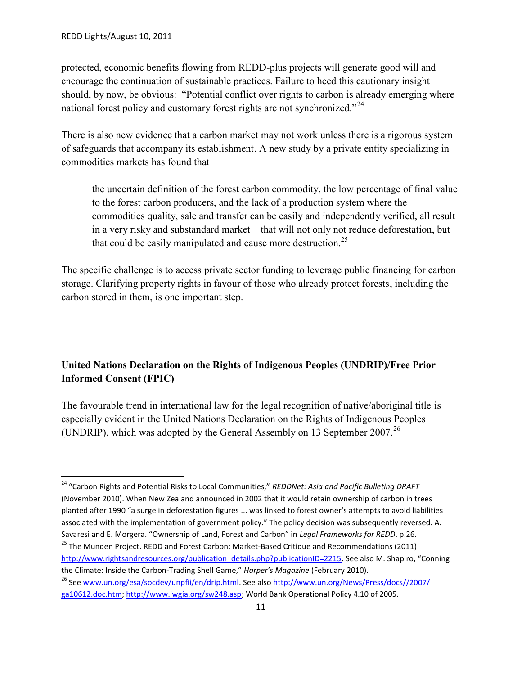protected, economic benefits flowing from REDD-plus projects will generate good will and encourage the continuation of sustainable practices. Failure to heed this cautionary insight should, by now, be obvious: "Potential conflict over rights to carbon is already emerging where national forest policy and customary forest rights are not synchronized."<sup>24</sup>

There is also new evidence that a carbon market may not work unless there is a rigorous system of safeguards that accompany its establishment. A new study by a private entity specializing in commodities markets has found that

the uncertain definition of the forest carbon commodity, the low percentage of final value to the forest carbon producers, and the lack of a production system where the commodities quality, sale and transfer can be easily and independently verified, all result in a very risky and substandard market – that will not only not reduce deforestation, but that could be easily manipulated and cause more destruction.<sup>25</sup>

The specific challenge is to access private sector funding to leverage public financing for carbon storage. Clarifying property rights in favour of those who already protect forests, including the carbon stored in them, is one important step.

## **United Nations Declaration on the Rights of Indigenous Peoples (UNDRIP)/Free Prior Informed Consent (FPIC)**

The favourable trend in international law for the legal recognition of native/aboriginal title is especially evident in the United Nations Declaration on the Rights of Indigenous Peoples (UNDRIP), which was adopted by the General Assembly on 13 September 2007.<sup>26</sup>

<sup>24</sup> "Carbon Rights and Potential Risks to Local Communities," *REDDNet: Asia and Pacific Bulleting DRAFT* (November 2010). When New Zealand announced in 2002 that it would retain ownership of carbon in trees planted after 1990 "a surge in deforestation figures ... was linked to forest owner's attempts to avoid liabilities associated with the implementation of government policy." The policy decision was subsequently reversed. A. Savaresi and E. Morgera. "Ownership of Land, Forest and Carbon" in *Legal Frameworks for REDD*, p.26.

<sup>&</sup>lt;sup>25</sup> The Munden Project. REDD and Forest Carbon: Market-Based Critique and Recommendations (2011) http://www.rightsandresources.org/publication\_details.php?publicationID=2215. See also M. Shapiro, "Conning the Climate: Inside the Carbon-Trading Shell Game," *Harper's Magazine* (February 2010).

<sup>26</sup> See www.un.org/esa/socdev/unpfii/en/drip.html. See also http://www.un.org/News/Press/docs//2007/ ga10612.doc.htm; http://www.iwgia.org/sw248.asp; World Bank Operational Policy 4.10 of 2005.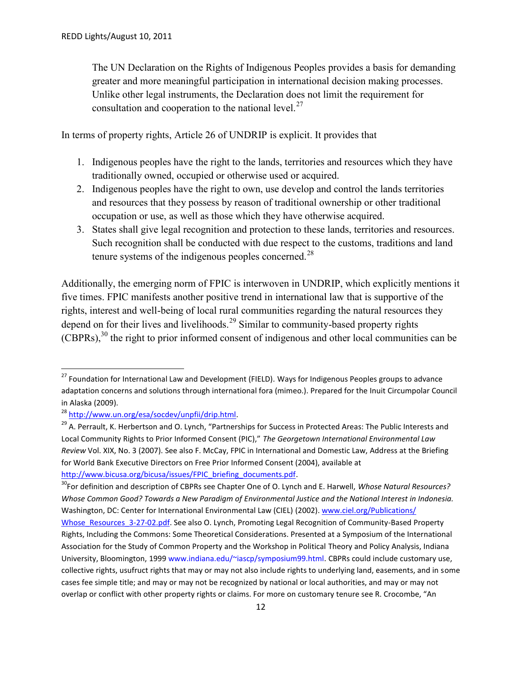The UN Declaration on the Rights of Indigenous Peoples provides a basis for demanding greater and more meaningful participation in international decision making processes. Unlike other legal instruments, the Declaration does not limit the requirement for consultation and cooperation to the national level.<sup>27</sup>

In terms of property rights, Article 26 of UNDRIP is explicit. It provides that

- 1. Indigenous peoples have the right to the lands, territories and resources which they have traditionally owned, occupied or otherwise used or acquired.
- 2. Indigenous peoples have the right to own, use develop and control the lands territories and resources that they possess by reason of traditional ownership or other traditional occupation or use, as well as those which they have otherwise acquired.
- 3. States shall give legal recognition and protection to these lands, territories and resources. Such recognition shall be conducted with due respect to the customs, traditions and land tenure systems of the indigenous peoples concerned.<sup>28</sup>

Additionally, the emerging norm of FPIC is interwoven in UNDRIP, which explicitly mentions it five times. FPIC manifests another positive trend in international law that is supportive of the rights, interest and well-being of local rural communities regarding the natural resources they depend on for their lives and livelihoods.<sup>29</sup> Similar to community-based property rights (CBPRs),<sup>30</sup> the right to prior informed consent of indigenous and other local communities can be

<sup>30</sup>For definition and description of CBPRs see Chapter One of O. Lynch and E. Harwell, *Whose Natural Resources? Whose Common Good? Towards a New Paradigm of Environmental Justice and the National Interest in Indonesia.* Washington, DC: Center for International Environmental Law (CIEL) (2002). www.ciel.org/Publications/

<sup>&</sup>lt;sup>27</sup> Foundation for International Law and Development (FIELD). Ways for Indigenous Peoples groups to advance adaptation concerns and solutions through international fora (mimeo.). Prepared for the Inuit Circumpolar Council in Alaska (2009).

<sup>28</sup> http://www.un.org/esa/socdev/unpfii/drip.html.

<sup>&</sup>lt;sup>29</sup> A. Perrault, K. Herbertson and O. Lynch, "Partnerships for Success in Protected Areas: The Public Interests and Local Community Rights to Prior Informed Consent (PIC)," *The Georgetown International Environmental Law Review* Vol. XIX, No. 3 (2007). See also F. McCay, FPIC in International and Domestic Law, Address at the Briefing for World Bank Executive Directors on Free Prior Informed Consent (2004), available at http://www.bicusa.org/bicusa/issues/FPIC\_briefing\_documents.pdf.

Whose\_Resources\_3-27-02.pdf. See also O. Lynch, Promoting Legal Recognition of Community-Based Property Rights, Including the Commons: Some Theoretical Considerations. Presented at a Symposium of the International Association for the Study of Common Property and the Workshop in Political Theory and Policy Analysis, Indiana University, Bloomington, 1999 www.indiana.edu/~iascp/symposium99.html. CBPRs could include customary use, collective rights, usufruct rights that may or may not also include rights to underlying land, easements, and in some cases fee simple title; and may or may not be recognized by national or local authorities, and may or may not overlap or conflict with other property rights or claims. For more on customary tenure see R. Crocombe, "An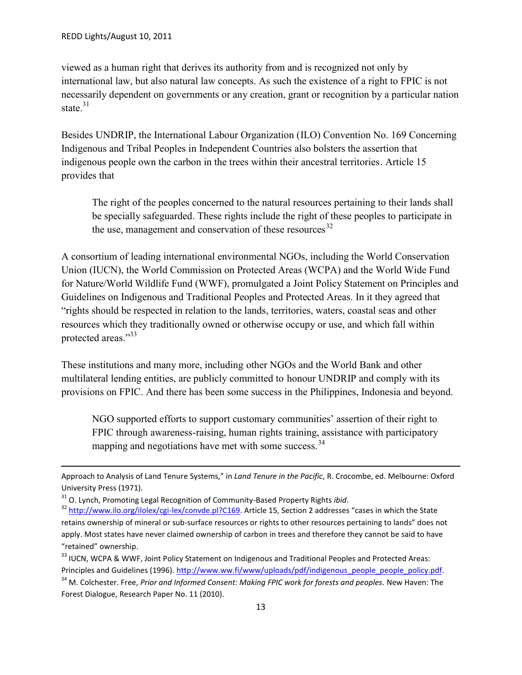viewed as a human right that derives its authority from and is recognized not only by international law, but also natural law concepts. As such the existence of a right to FPIC is not necessarily dependent on governments or any creation, grant or recognition by a particular nation state  $31$ 

Besides UNDRIP, the International Labour Organization (ILO) Convention No. 169 Concerning Indigenous and Tribal Peoples in Independent Countries also bolsters the assertion that indigenous people own the carbon in the trees within their ancestral territories. Article 15 provides that

The right of the peoples concerned to the natural resources pertaining to their lands shall be specially safeguarded. These rights include the right of these peoples to participate in the use, management and conservation of these resources  $32$ 

A consortium of leading international environmental NGOs, including the World Conservation Union (IUCN), the World Commission on Protected Areas (WCPA) and the World Wide Fund for Nature/World Wildlife Fund (WWF), promulgated a Joint Policy Statement on Principles and Guidelines on Indigenous and Traditional Peoples and Protected Areas. In it they agreed that "rights should be respected in relation to the lands, territories, waters, coastal seas and other resources which they traditionally owned or otherwise occupy or use, and which fall within protected areas."33

These institutions and many more, including other NGOs and the World Bank and other multilateral lending entities, are publicly committed to honour UNDRIP and comply with its provisions on FPIC. And there has been some success in the Philippines, Indonesia and beyond.

NGO supported efforts to support customary communities' assertion of their right to FPIC through awareness-raising, human rights training, assistance with participatory mapping and negotiations have met with some success.<sup>34</sup>

Approach to Analysis of Land Tenure Systems," in *Land Tenure in the Pacific*, R. Crocombe, ed. Melbourne: Oxford University Press (1971).

<sup>&</sup>lt;sup>31</sup> O. Lynch, Promoting Legal Recognition of Community-Based Property Rights *ibid*.<br><sup>32</sup> http://www.ilo.org/ilolex/cgi-lex/convde.pl?C169. Article 15, Section 2 addresses "cases in which the State retains ownership of mineral or sub-surface resources or rights to other resources pertaining to lands" does not apply. Most states have never claimed ownership of carbon in trees and therefore they cannot be said to have "retained" ownership.

<sup>33</sup> IUCN, WCPA & WWF, Joint Policy Statement on Indigenous and Traditional Peoples and Protected Areas: Principles and Guidelines (1996). http://www.ww.fi/www/uploads/pdf/indigenous\_people\_people\_policy.pdf.

<sup>34</sup> M. Colchester. Free, *Prior and Informed Consent: Making FPIC work for forests and peoples.* New Haven: The Forest Dialogue, Research Paper No. 11 (2010).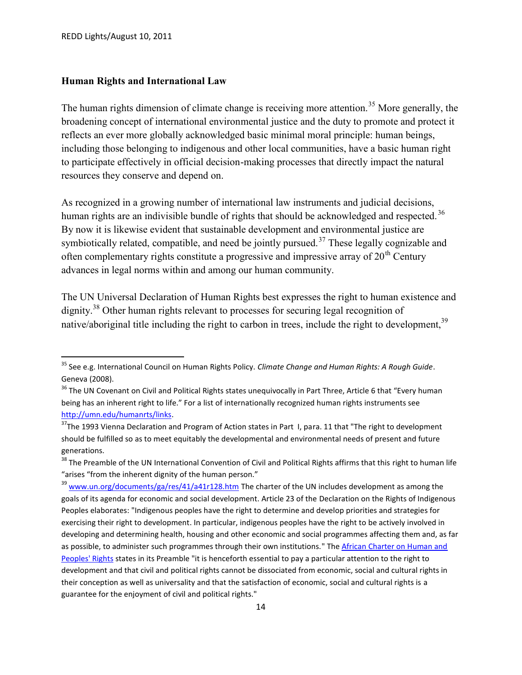### **Human Rights and International Law**

The human rights dimension of climate change is receiving more attention.<sup>35</sup> More generally, the broadening concept of international environmental justice and the duty to promote and protect it reflects an ever more globally acknowledged basic minimal moral principle: human beings, including those belonging to indigenous and other local communities, have a basic human right to participate effectively in official decision-making processes that directly impact the natural resources they conserve and depend on.

As recognized in a growing number of international law instruments and judicial decisions, human rights are an indivisible bundle of rights that should be acknowledged and respected.<sup>36</sup> By now it is likewise evident that sustainable development and environmental justice are symbiotically related, compatible, and need be jointly pursued.<sup>37</sup> These legally cognizable and often complementary rights constitute a progressive and impressive array of  $20<sup>th</sup>$  Century advances in legal norms within and among our human community.

The UN Universal Declaration of Human Rights best expresses the right to human existence and dignity.<sup>38</sup> Other human rights relevant to processes for securing legal recognition of native/aboriginal title including the right to carbon in trees, include the right to development,<sup>39</sup>

<sup>35</sup> See e.g. International Council on Human Rights Policy. *Climate Change and Human Rights: A Rough Guide*. Geneva (2008).

<sup>&</sup>lt;sup>36</sup> The UN Covenant on Civil and Political Rights states unequivocally in Part Three, Article 6 that "Every human being has an inherent right to life." For a list of internationally recognized human rights instruments see http://umn.edu/humanrts/links.

<sup>&</sup>lt;sup>37</sup>The 1993 Vienna Declaration and Program of Action states in Part I, para. 11 that "The right to development should be fulfilled so as to meet equitably the developmental and environmental needs of present and future generations.

 $38$  The Preamble of the UN International Convention of Civil and Political Rights affirms that this right to human life "arises "from the inherent dignity of the human person."

<sup>&</sup>lt;sup>39</sup> www.un.org/documents/ga/res/41/a41r128.htm The charter of the UN includes development as among the goals of its agenda for economic and social development. Article 23 of the Declaration on the Rights of Indigenous Peoples elaborates: "Indigenous peoples have the right to determine and develop priorities and strategies for exercising their right to development. In particular, indigenous peoples have the right to be actively involved in developing and determining health, housing and other economic and social programmes affecting them and, as far as possible, to administer such programmes through their own institutions." The African Charter on Human and Peoples' Rights states in its Preamble "it is henceforth essential to pay a particular attention to the right to development and that civil and political rights cannot be dissociated from economic, social and cultural rights in their conception as well as universality and that the satisfaction of economic, social and cultural rights is a guarantee for the enjoyment of civil and political rights."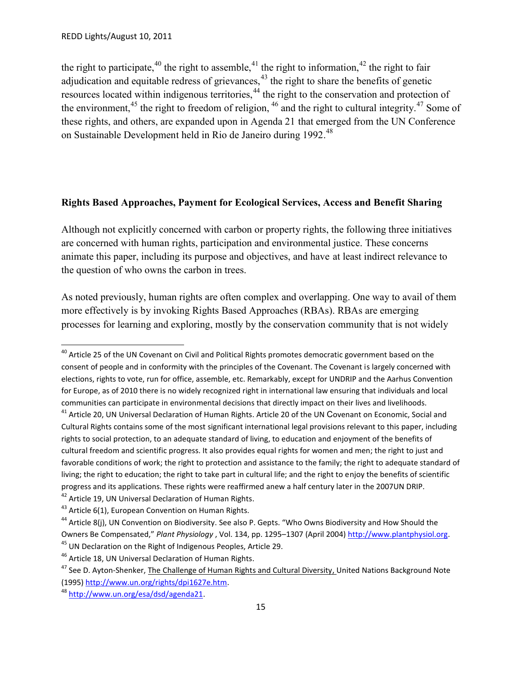the right to participate,<sup>40</sup> the right to assemble,<sup>41</sup> the right to information,<sup>42</sup> the right to fair adjudication and equitable redress of grievances, $43$  the right to share the benefits of genetic resources located within indigenous territories,<sup>44</sup> the right to the conservation and protection of the environment,<sup>45</sup> the right to freedom of religion,  $46$  and the right to cultural integrity.<sup>47</sup> Some of these rights, and others, are expanded upon in Agenda 21 that emerged from the UN Conference on Sustainable Development held in Rio de Janeiro during 1992.<sup>48</sup>

## **Rights Based Approaches, Payment for Ecological Services, Access and Benefit Sharing**

Although not explicitly concerned with carbon or property rights, the following three initiatives are concerned with human rights, participation and environmental justice. These concerns animate this paper, including its purpose and objectives, and have at least indirect relevance to the question of who owns the carbon in trees.

As noted previously, human rights are often complex and overlapping. One way to avail of them more effectively is by invoking Rights Based Approaches (RBAs). RBAs are emerging processes for learning and exploring, mostly by the conservation community that is not widely

<sup>&</sup>lt;sup>40</sup> Article 25 of the UN Covenant on Civil and Political Rights promotes democratic government based on the consent of people and in conformity with the principles of the Covenant. The Covenant is largely concerned with elections, rights to vote, run for office, assemble, etc. Remarkably, except for UNDRIP and the Aarhus Convention for Europe, as of 2010 there is no widely recognized right in international law ensuring that individuals and local communities can participate in environmental decisions that directly impact on their lives and livelihoods. <sup>41</sup> Article 20, UN Universal Declaration of Human Rights. Article 20 of the UN Covenant on Economic, Social and

Cultural Rights contains some of the most significant international legal provisions relevant to this paper, including rights to social protection, to an adequate standard of living, to education and enjoyment of the benefits of cultural freedom and scientific progress. It also provides equal rights for women and men; the right to just and favorable conditions of work; the right to protection and assistance to the family; the right to adequate standard of living; the right to education; the right to take part in cultural life; and the right to enjoy the benefits of scientific progress and its applications. These rights were reaffirmed anew a half century later in the 2007UN DRIP.

<sup>&</sup>lt;sup>42</sup> Article 19, UN Universal Declaration of Human Rights.

 $43$  Article 6(1), European Convention on Human Rights.

<sup>&</sup>lt;sup>44</sup> Article 8(i), UN Convention on Biodiversity. See also P. Gepts. "Who Owns Biodiversity and How Should the Owners Be Compensated," *Plant Physiology* , Vol. 134, pp. 1295–1307 (April 2004) http://www.plantphysiol.org. <sup>45</sup> UN Declaration on the Right of Indigenous Peoples, Article 29.

<sup>&</sup>lt;sup>46</sup> Article 18, UN Universal Declaration of Human Rights.

<sup>&</sup>lt;sup>47</sup> See D. Ayton-Shenker, The Challenge of Human Rights and Cultural Diversity, United Nations Background Note (1995) http://www.un.org/rights/dpi1627e.htm.

<sup>48</sup> http://www.un.org/esa/dsd/agenda21.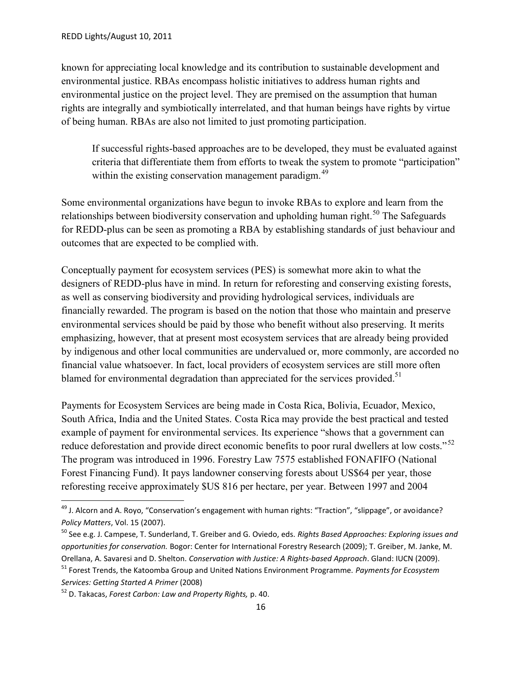known for appreciating local knowledge and its contribution to sustainable development and environmental justice. RBAs encompass holistic initiatives to address human rights and environmental justice on the project level. They are premised on the assumption that human rights are integrally and symbiotically interrelated, and that human beings have rights by virtue of being human. RBAs are also not limited to just promoting participation.

If successful rights-based approaches are to be developed, they must be evaluated against criteria that differentiate them from efforts to tweak the system to promote "participation" within the existing conservation management paradigm.<sup>49</sup>

Some environmental organizations have begun to invoke RBAs to explore and learn from the relationships between biodiversity conservation and upholding human right.<sup>50</sup> The Safeguards for REDD-plus can be seen as promoting a RBA by establishing standards of just behaviour and outcomes that are expected to be complied with.

Conceptually payment for ecosystem services (PES) is somewhat more akin to what the designers of REDD-plus have in mind. In return for reforesting and conserving existing forests, as well as conserving biodiversity and providing hydrological services, individuals are financially rewarded. The program is based on the notion that those who maintain and preserve environmental services should be paid by those who benefit without also preserving. It merits emphasizing, however, that at present most ecosystem services that are already being provided by indigenous and other local communities are undervalued or, more commonly, are accorded no financial value whatsoever. In fact, local providers of ecosystem services are still more often blamed for environmental degradation than appreciated for the services provided.<sup>51</sup>

Payments for Ecosystem Services are being made in Costa Rica, Bolivia, Ecuador, Mexico, South Africa, India and the United States. Costa Rica may provide the best practical and tested example of payment for environmental services. Its experience "shows that a government can reduce deforestation and provide direct economic benefits to poor rural dwellers at low costs."<sup>52</sup> The program was introduced in 1996. Forestry Law 7575 established FONAFIFO (National Forest Financing Fund). It pays landowner conserving forests about US\$64 per year, those reforesting receive approximately \$US 816 per hectare, per year. Between 1997 and 2004

 $49$  J. Alcorn and A. Royo, "Conservation's engagement with human rights: "Traction", "slippage", or avoidance? *Policy Matters*, Vol. 15 (2007).

<sup>50</sup> See e.g. J. Campese, T. Sunderland, T. Greiber and G. Oviedo, eds. *Rights Based Approaches: Exploring issues and opportunities for conservation.* Bogor: Center for International Forestry Research (2009); T. Greiber, M. Janke, M. Orellana, A. Savaresi and D. Shelton. *Conservation with Justice: A Rights-based Approach*. Gland: IUCN (2009).

<sup>51</sup> Forest Trends, the Katoomba Group and United Nations Environment Programme. *Payments for Ecosystem Services: Getting Started A Primer* (2008)

<sup>52</sup> D. Takacas, *Forest Carbon: Law and Property Rights,* p. 40.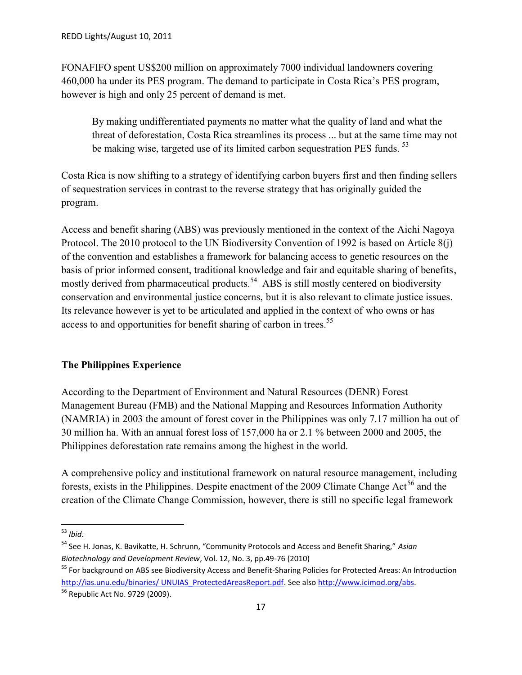FONAFIFO spent US\$200 million on approximately 7000 individual landowners covering 460,000 ha under its PES program. The demand to participate in Costa Rica's PES program, however is high and only 25 percent of demand is met.

By making undifferentiated payments no matter what the quality of land and what the threat of deforestation, Costa Rica streamlines its process ... but at the same time may not be making wise, targeted use of its limited carbon sequestration PES funds.<sup>53</sup>

Costa Rica is now shifting to a strategy of identifying carbon buyers first and then finding sellers of sequestration services in contrast to the reverse strategy that has originally guided the program.

Access and benefit sharing (ABS) was previously mentioned in the context of the Aichi Nagoya Protocol. The 2010 protocol to the UN Biodiversity Convention of 1992 is based on Article 8(j) of the convention and establishes a framework for balancing access to genetic resources on the basis of prior informed consent, traditional knowledge and fair and equitable sharing of benefits, mostly derived from pharmaceutical products.<sup>54</sup> ABS is still mostly centered on biodiversity conservation and environmental justice concerns, but it is also relevant to climate justice issues. Its relevance however is yet to be articulated and applied in the context of who owns or has access to and opportunities for benefit sharing of carbon in trees.<sup>55</sup>

### **The Philippines Experience**

According to the Department of Environment and Natural Resources (DENR) Forest Management Bureau (FMB) and the National Mapping and Resources Information Authority (NAMRIA) in 2003 the amount of forest cover in the Philippines was only 7.17 million ha out of 30 million ha. With an annual forest loss of 157,000 ha or 2.1 % between 2000 and 2005, the Philippines deforestation rate remains among the highest in the world.

A comprehensive policy and institutional framework on natural resource management, including forests, exists in the Philippines. Despite enactment of the 2009 Climate Change  $Act<sup>56</sup>$  and the creation of the Climate Change Commission, however, there is still no specific legal framework

<sup>53</sup> *Ibid*.

<sup>54</sup> See H. Jonas, K. Bavikatte, H. Schrunn, "Community Protocols and Access and Benefit Sharing," *Asian Biotechnology and Development Review*, Vol. 12, No. 3, pp.49-76 (2010)

<sup>&</sup>lt;sup>55</sup> For background on ABS see Biodiversity Access and Benefit-Sharing Policies for Protected Areas: An Introduction http://ias.unu.edu/binaries/ UNUIAS\_ProtectedAreasReport.pdf. See also http://www.icimod.org/abs.

<sup>56</sup> Republic Act No. 9729 (2009).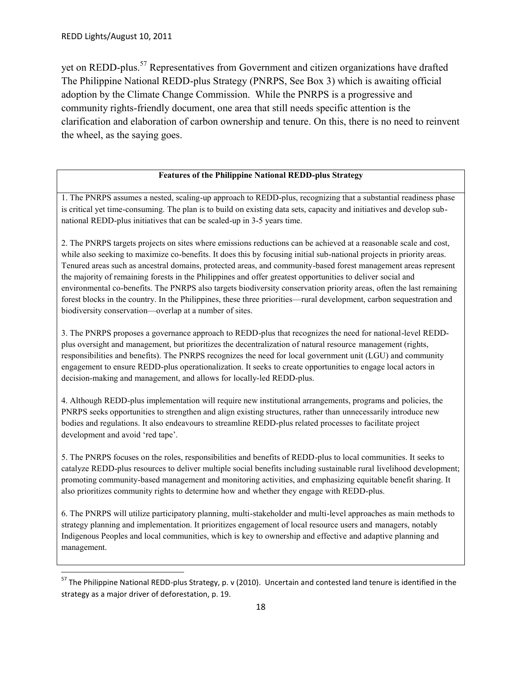yet on REDD-plus.<sup>57</sup> Representatives from Government and citizen organizations have drafted The Philippine National REDD-plus Strategy (PNRPS, See Box 3) which is awaiting official adoption by the Climate Change Commission. While the PNRPS is a progressive and community rights-friendly document, one area that still needs specific attention is the clarification and elaboration of carbon ownership and tenure. On this, there is no need to reinvent the wheel, as the saying goes.

#### **Features of the Philippine National REDD-plus Strategy**

1. The PNRPS assumes a nested, scaling-up approach to REDD-plus, recognizing that a substantial readiness phase is critical yet time-consuming. The plan is to build on existing data sets, capacity and initiatives and develop sub national REDD-plus initiatives that can be scaled-up in 3-5 years time.

2. The PNRPS targets projects on sites where emissions reductions can be achieved at a reasonable scale and cost, while also seeking to maximize co-benefits. It does this by focusing initial sub-national projects in priority areas. Tenured areas such as ancestral domains, protected areas, and community-based forest management areas represent the majority of remaining forests in the Philippines and offer greatest opportunities to deliver social and environmental co-benefits. The PNRPS also targets biodiversity conservation priority areas, often the last remaining forest blocks in the country. In the Philippines, these three priorities—rural development, carbon sequestration and biodiversity conservation—overlap at a number of sites.

3. The PNRPS proposes a governance approach to REDD-plus that recognizes the need for national-level REDD plus oversight and management, but prioritizes the decentralization of natural resource management (rights, responsibilities and benefits). The PNRPS recognizes the need for local government unit (LGU) and community engagement to ensure REDD-plus operationalization. It seeks to create opportunities to engage local actors in decision-making and management, and allows for locally-led REDD-plus.

4. Although REDD-plus implementation will require new institutional arrangements, programs and policies, the PNRPS seeks opportunities to strengthen and align existing structures, rather than unnecessarily introduce new bodies and regulations. It also endeavours to streamline REDD-plus related processes to facilitate project development and avoid 'red tape'.

5. The PNRPS focuses on the roles, responsibilities and benefits of REDD-plus to local communities. It seeks to catalyze REDD-plus resources to deliver multiple social benefits including sustainable rural livelihood development; promoting community-based management and monitoring activities, and emphasizing equitable benefit sharing. It also prioritizes community rights to determine how and whether they engage with REDD-plus.

6. The PNRPS will utilize participatory planning, multi-stakeholder and multi-level approaches as main methods to strategy planning and implementation. It prioritizes engagement of local resource users and managers, notably Indigenous Peoples and local communities, which is key to ownership and effective and adaptive planning and management.

 $57$  The Philippine National REDD-plus Strategy, p. v (2010). Uncertain and contested land tenure is identified in the strategy as a major driver of deforestation, p. 19.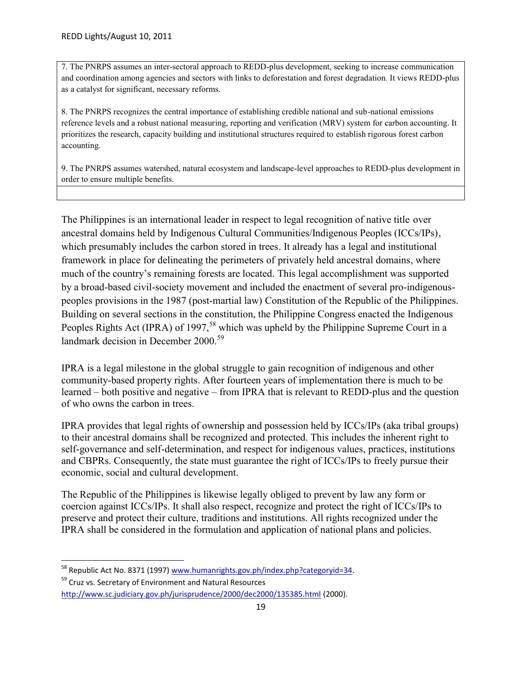7. The PNRPS assumes an inter-sectoral approach to REDD-plus development, seeking to increase communication and coordination among agencies and sectors with links to deforestation and forest degradation. It views REDD-plus as a catalyst for significant, necessary reforms.

8. The PNRPS recognizes the central importance of establishing credible national and sub-national emissions reference levels and a robust national measuring, reporting and verification (MRV) system for carbon accounting. It prioritizes the research, capacity building and institutional structures required to establish rigorous forest carbon accounting.

9. The PNRPS assumes watershed, natural ecosystem and landscape-level approaches to REDD-plus development in order to ensure multiple benefits.

The Philippines is an international leader in respect to legal recognition of native title over ancestral domains held by Indigenous Cultural Communities/Indigenous Peoples (ICCs/IPs), which presumably includes the carbon stored in trees. It already has a legal and institutional framework in place for delineating the perimeters of privately held ancestral domains, where much of the country's remaining forests are located. This legal accomplishment was supported by a broad-based civil-society movement and included the enactment of several pro-indigenous peoples provisions in the 1987 (post-martial law) Constitution of the Republic of the Philippines. Building on several sections in the constitution, the Philippine Congress enacted the Indigenous Peoples Rights Act (IPRA) of 1997,<sup>58</sup> which was upheld by the Philippine Supreme Court in a landmark decision in December 2000.<sup>59</sup>

IPRA is a legal milestone in the global struggle to gain recognition of indigenous and other community-based property rights. After fourteen years of implementation there is much to be learned – both positive and negative – from IPRA that is relevant to REDD-plus and the question of who owns the carbon in trees.

IPRA provides that legal rights of ownership and possession held by ICCs/IPs (aka tribal groups) to their ancestral domains shall be recognized and protected. This includes the inherent right to self-governance and self-determination, and respect for indigenous values, practices, institutions and CBPRs. Consequently, the state must guarantee the right of ICCs/IPs to freely pursue their economic, social and cultural development.

The Republic of the Philippines is likewise legally obliged to prevent by law any form or coercion against ICCs/IPs. It shall also respect, recognize and protect the right of ICCs/IPs to preserve and protect their culture, traditions and institutions. All rights recognized under the IPRA shall be considered in the formulation and application of national plans and policies.

<sup>&</sup>lt;sup>58</sup> Republic Act No. 8371 (1997) www.humanrights.gov.ph/index.php?categoryid=34.

<sup>&</sup>lt;sup>59</sup> Cruz vs. Secretary of Environment and Natural Resources http://www.sc.judiciary.gov.ph/jurisprudence/2000/dec2000/135385.html (2000).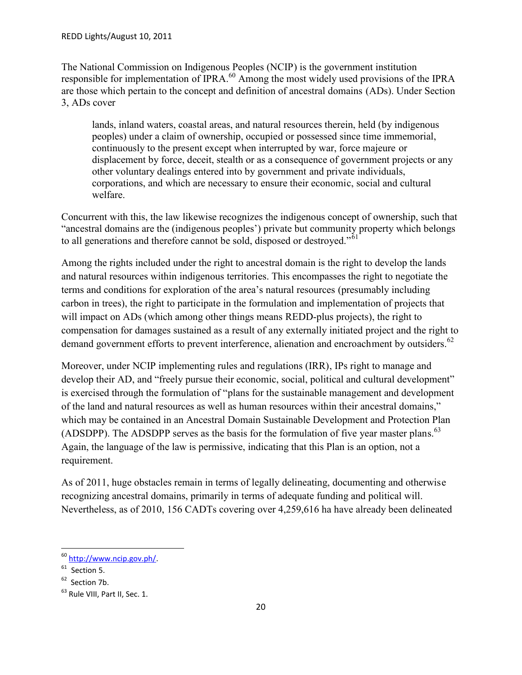The National Commission on Indigenous Peoples (NCIP) is the government institution responsible for implementation of IPRA.<sup>60</sup> Among the most widely used provisions of the IPRA are those which pertain to the concept and definition of ancestral domains (ADs). Under Section 3, ADs cover

lands, inland waters, coastal areas, and natural resources therein, held (by indigenous peoples) under a claim of ownership, occupied or possessed since time immemorial, continuously to the present except when interrupted by war, force majeure or displacement by force, deceit, stealth or as a consequence of government projects or any other voluntary dealings entered into by government and private individuals, corporations, and which are necessary to ensure their economic, social and cultural welfare.

Concurrent with this, the law likewise recognizes the indigenous concept of ownership, such that "ancestral domains are the (indigenous peoples') private but community property which belongs to all generations and therefore cannot be sold, disposed or destroyed."<sup>61</sup>

Among the rights included under the right to ancestral domain is the right to develop the lands and natural resources within indigenous territories. This encompasses the right to negotiate the terms and conditions for exploration of the area's natural resources (presumably including carbon in trees), the right to participate in the formulation and implementation of projects that will impact on ADs (which among other things means REDD-plus projects), the right to compensation for damages sustained as a result of any externally initiated project and the right to demand government efforts to prevent interference, alienation and encroachment by outsiders.<sup>62</sup>

Moreover, under NCIP implementing rules and regulations (IRR), IPs right to manage and develop their AD, and "freely pursue their economic, social, political and cultural development" is exercised through the formulation of "plans for the sustainable management and development of the land and natural resources as well as human resources within their ancestral domains," which may be contained in an Ancestral Domain Sustainable Development and Protection Plan (ADSDPP). The ADSDPP serves as the basis for the formulation of five year master plans.<sup>63</sup> Again, the language of the law is permissive, indicating that this Plan is an option, not a requirement.

As of 2011, huge obstacles remain in terms of legally delineating, documenting and otherwise recognizing ancestral domains, primarily in terms of adequate funding and political will. Nevertheless, as of 2010, 156 CADTs covering over 4,259,616 ha have already been delineated

<sup>60</sup> http://www.ncip.gov.ph/.

 $61$  Section 5.

<sup>&</sup>lt;sup>62</sup> Section 7b.

<sup>&</sup>lt;sup>63</sup> Rule VIII, Part II, Sec. 1.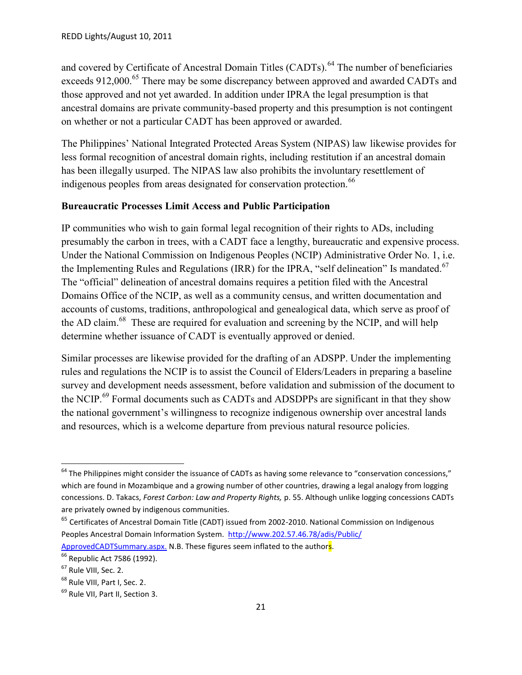and covered by Certificate of Ancestral Domain Titles (CADTs).<sup>64</sup> The number of beneficiaries exceeds 912,000.<sup>65</sup> There may be some discrepancy between approved and awarded CADTs and those approved and not yet awarded. In addition under IPRA the legal presumption is that ancestral domains are private community-based property and this presumption is not contingent on whether or not a particular CADT has been approved or awarded.

The Philippines' National Integrated Protected Areas System (NIPAS) law likewise provides for less formal recognition of ancestral domain rights, including restitution if an ancestral domain has been illegally usurped. The NIPAS law also prohibits the involuntary resettlement of indigenous peoples from areas designated for conservation protection.<sup>66</sup>

### **Bureaucratic Processes Limit Access and Public Participation**

IP communities who wish to gain formal legal recognition of their rights to ADs, including presumably the carbon in trees, with a CADT face a lengthy, bureaucratic and expensive process. Under the National Commission on Indigenous Peoples (NCIP) Administrative Order No. 1, i.e. the Implementing Rules and Regulations (IRR) for the IPRA, "self delineation" Is mandated.<sup>67</sup> The "official" delineation of ancestral domains requires a petition filed with the Ancestral Domains Office of the NCIP, as well as a community census, and written documentation and accounts of customs, traditions, anthropological and genealogical data, which serve as proof of the AD claim.<sup>68</sup> These are required for evaluation and screening by the NCIP, and will help determine whether issuance of CADT is eventually approved or denied.

Similar processes are likewise provided for the drafting of an ADSPP. Under the implementing rules and regulations the NCIP is to assist the Council of Elders/Leaders in preparing a baseline survey and development needs assessment, before validation and submission of the document to the NCIP.<sup>69</sup> Formal documents such as CADTs and ADSDPPs are significant in that they show the national government's willingness to recognize indigenous ownership over ancestral lands and resources, which is a welcome departure from previous natural resource policies.

 $64$  The Philippines might consider the issuance of CADTs as having some relevance to "conservation concessions," which are found in Mozambique and a growing number of other countries, drawing a legal analogy from logging concessions. D. Takacs, *Forest Carbon: Law and Property Rights,* p. 55. Although unlike logging concessions CADTs are privately owned by indigenous communities.

 $<sup>65</sup>$  Certificates of Ancestral Domain Title (CADT) issued from 2002-2010. National Commission on Indigenous</sup> Peoples Ancestral Domain Information System. http://www.202.57.46.78/adis/Public/

ApprovedCADTSummary.aspx. N.B. These figures seem inflated to the authors.

<sup>&</sup>lt;sup>66</sup> Republic Act 7586 (1992).

<sup>&</sup>lt;sup>67</sup> Rule VIII, Sec. 2.

<sup>&</sup>lt;sup>68</sup> Rule VIII, Part I, Sec. 2.

<sup>69</sup> Rule VII, Part II, Section 3.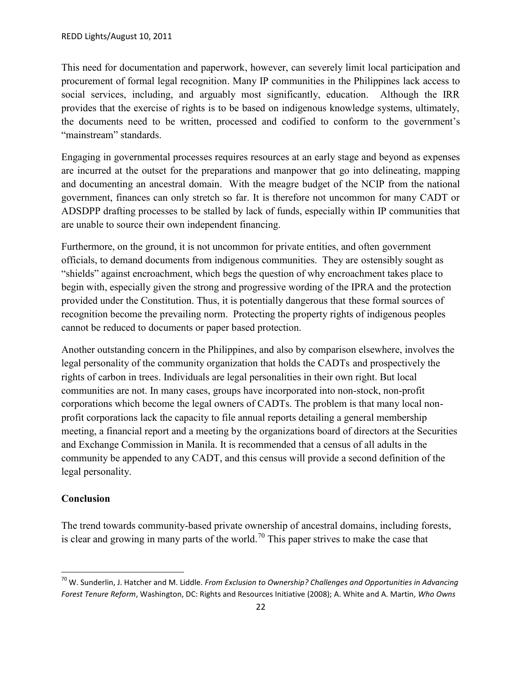This need for documentation and paperwork, however, can severely limit local participation and procurement of formal legal recognition. Many IP communities in the Philippines lack access to social services, including, and arguably most significantly, education. Although the IRR provides that the exercise of rights is to be based on indigenous knowledge systems, ultimately, the documents need to be written, processed and codified to conform to the government's "mainstream" standards.

Engaging in governmental processes requires resources at an early stage and beyond as expenses are incurred at the outset for the preparations and manpower that go into delineating, mapping and documenting an ancestral domain. With the meagre budget of the NCIP from the national government, finances can only stretch so far. It is therefore not uncommon for many CADT or ADSDPP drafting processes to be stalled by lack of funds, especially within IP communities that are unable to source their own independent financing.

Furthermore, on the ground, it is not uncommon for private entities, and often government officials, to demand documents from indigenous communities. They are ostensibly sought as "shields" against encroachment, which begs the question of why encroachment takes place to begin with, especially given the strong and progressive wording of the IPRA and the protection provided under the Constitution. Thus, it is potentially dangerous that these formal sources of recognition become the prevailing norm. Protecting the property rights of indigenous peoples cannot be reduced to documents or paper based protection.

Another outstanding concern in the Philippines, and also by comparison elsewhere, involves the legal personality of the community organization that holds the CADTs and prospectively the rights of carbon in trees. Individuals are legal personalities in their own right. But local communities are not. In many cases, groups have incorporated into non-stock, non-profit corporations which become the legal owners of CADTs. The problem is that many local non profit corporations lack the capacity to file annual reports detailing a general membership meeting, a financial report and a meeting by the organizations board of directors at the Securities and Exchange Commission in Manila. It is recommended that a census of all adults in the community be appended to any CADT, and this census will provide a second definition of the legal personality.

### **Conclusion**

The trend towards community-based private ownership of ancestral domains, including forests, is clear and growing in many parts of the world.<sup>70</sup> This paper strives to make the case that

<sup>70</sup> W. Sunderlin, J. Hatcher and M. Liddle. *From Exclusion to Ownership? Challenges and Opportunities in Advancing Forest Tenure Reform*, Washington, DC: Rights and Resources Initiative (2008); A. White and A. Martin, *Who Owns*